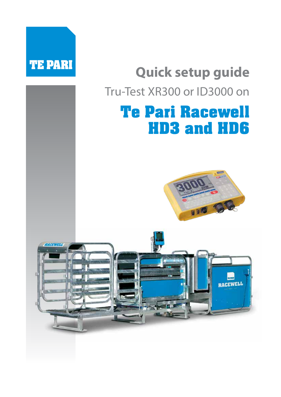

# **Quick setup guide** Tru-Test XR300 or ID3000 on

# **Te Pari Racewell HD3 and HD6**



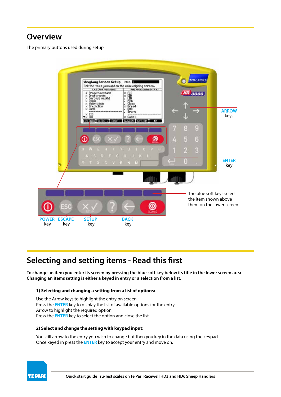#### **Overview**

The primary buttons used during setup



### **Selecting and setting items - Read this first**

**To change an item you enter its screen by pressing the blue soft key below its title in the lower screen area Changing an items setting is either a keyed in entry or a selection from a list.**

#### **1) Selecting and changing a setting from a list of options:**

Use the Arrow keys to highlight the entry on screen Press the **ENTER** key to display the list of available options for the entry Arrow to highlight the required option Press the **ENTER** key to select the option and close the list

#### **2) Select and change the setting with keypad input:**

You still arrow to the entry you wish to change but then you key in the data using the keypad Once keyed in press the **ENTER** key to accept your entry and move on.

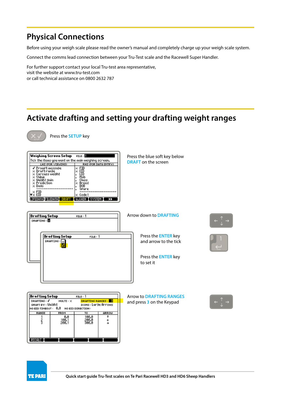### **Physical Connections**

Press the **SETUP** key

Before using your weigh scale please read the owner's manual and completely charge up your weigh scale system.

Connect the comms lead connection between your Tru-Test scale and the Racewell Super Handler.

For further support contact your local Tru-test area representative, visit the website at www.tru-test.com or call technical assistance on 0800 2632 787

### **Activate drafting and setting your drafting weight ranges**



| Weighing Screen Setup<br>FILE:<br>Tick the items you want on the main weighing screen.<br><b>RHS (FOR DATA ENTRY)</b><br>LHS (FOR VIEWING)<br>Promptmessage<br>$\times$ FID<br>EID<br>Draftran9e<br>×<br>ΙD<br>Carcass weight<br>Mob<br>Value<br>Wei9ht 9ain<br>Class<br>ediction:<br>Breed<br>×<br>Dous<br>DOB<br>SPare<br>FI0<br>$\blacktriangledown \times$ EID<br>$\times$ Code 1<br>LIFEORIA FILEDAIR ORAFI LU.CAIN I SYSIEM I<br>▸ | Press the blue soft key below<br><b>DRAFT</b> on the screen                                                                     |  |
|------------------------------------------------------------------------------------------------------------------------------------------------------------------------------------------------------------------------------------------------------------------------------------------------------------------------------------------------------------------------------------------------------------------------------------------|---------------------------------------------------------------------------------------------------------------------------------|--|
| <b>Drafting Setup</b><br>FILE: 1<br>DRAFTING : X<br><b>Drafting Setup</b><br>FILE: 1<br>$DRAFIING: \times$                                                                                                                                                                                                                                                                                                                               | Arrow down to <b>DRAFTING</b><br>Press the <b>ENTER</b> key<br>and arrow to the tick<br>Press the <b>ENTER</b> key<br>to set it |  |
| <b>Drafting Setup</b><br>FLLE: 1<br>DRAFTING:√<br><b>DRAFTING RANGES:</b><br>MULTI: X<br>DRAFT BY : Wei9ht<br>ICONS: Large Arrows<br>NO EXD TIMEOUT: 0.0 NO EXD DIRECTION:<br>RANGE<br>τō<br>ARROW<br><b>FROM</b><br>0.0<br>100.0<br>3<br>100.<br>200. l<br>300.0                                                                                                                                                                        | <b>Arrow to DRAFTING RANGES</b><br>and press 3 on the Keypad                                                                    |  |



**EXCELCS**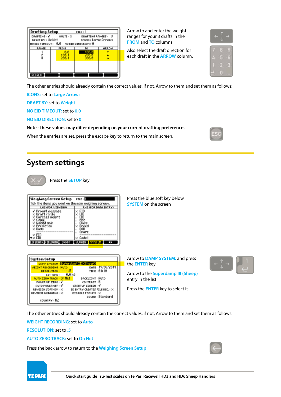| Drafting Setup                                                                                                                                  |      | FILE: 1 |              |
|-------------------------------------------------------------------------------------------------------------------------------------------------|------|---------|--------------|
| DRAFTING: V<br>DRAFTING RANGES: 3<br>MULTI: X<br>DRAFT BY : Wei9ht<br>ICONS: Lar9e Arrows<br><b>NO EID TIMEOUT: 0.8</b><br>NO EID DIRECTION : 8 |      |         |              |
| RANGE                                                                                                                                           | FROM | ĨŌ      | <b>GRROW</b> |
|                                                                                                                                                 |      |         |              |
|                                                                                                                                                 |      |         |              |
|                                                                                                                                                 |      |         |              |

Arrow to and enter the weight ranges for your 3 drafts in the **FROM** and **TO** columns

Also select the draft direction for each draft in the **ARROW** column.

| ⋍ |   |
|---|---|
|   |   |
|   |   |
|   |   |
|   | ٠ |

The other entries should already contain the correct values, if not, Arrow to them and set them as follows:

**ICONS:** set to **Large Arrows** 

**DRAFT BY:** set to **Weight**

**NO EID TIMEOUT:** set to **0.0**

**NO EID DIRECTION:** set to **0**

**Note - these values may differ depending on your current drafting preferences.**

When the entries are set, press the escape key to return to the main screen.

#### **System settings**

Press the **SETUP** key

| Tick the items you want on the main weighing screen.<br>RHS (FOR DATA ENTRY)<br>LHS (FOR UIEWING)<br>Promptmessa9e<br>×<br>Draftran9e<br>Carcass weight<br>Uolue<br>Wei9ht 9ain<br>Prediction<br>Doys<br>Seare<br>FID | Weighing Screen Setup FILE: [] |       |
|-----------------------------------------------------------------------------------------------------------------------------------------------------------------------------------------------------------------------|--------------------------------|-------|
|                                                                                                                                                                                                                       |                                |       |
|                                                                                                                                                                                                                       | EID                            | Code1 |

#### **System Setup** DAMP SYSTEM: Superdamp III (Sheep) DATE: 19/06/2013 ттие: 01:10 BACKLIGHT : Auto POWER UP ZERO : ✔ CONTRAST : 5 AUTO POWER OFF : √ STARTUP SCREEN: √ REWEIGH SOFTKEY : X ID ENTRY CREATES FILE REC. : X REUERSE UETGHTNG : X DISABLE POPUPS : > SOUND : Standard COUNTRY : NZ

Press the blue soft key below **SYSTEM** on the screen

Arrow to **DAMP SYSTEM:** and press the **ENTER** key

Arrow to the **Superdamp III (Sheep)** entry in the list

Press the **ENTER** key to select it



The other entries should already contain the correct values, if not, Arrow to them and set them as follows:

**WEIGHT RECORDING:** set to **Auto**

**RESOLUTION:** set to **.5**

#### **AUTO ZERO TRACK:** set to **On Net**

Press the back arrow to return to the **Weighing Screen Setup**



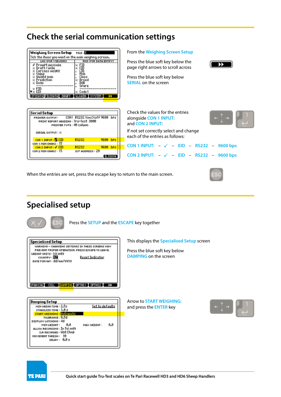# **Check the serial communication settings**

| Weighing Screen Setup FILE                                                                          |                             |
|-----------------------------------------------------------------------------------------------------|-----------------------------|
| Tick the items you want on the main weighing screen.                                                |                             |
| LHS (FOR VIEWING)                                                                                   | <b>RHS (FOR DATA ENTRY)</b> |
| Promptmessage<br>Draft range<br>Carcass weight<br>Value<br>Wei9ht 9ain<br>Prediction<br>Doys<br>FIN | Spare<br>Code1              |
|                                                                                                     |                             |

From the **Weighing Screen Setup**

Press the blue soft key below the page right arrows to scroll across Press the blue soft key below **SERIAL** on the screen



| CON1 RS232 Xon/Xoff 9600 bps         |                                  |                        |
|--------------------------------------|----------------------------------|------------------------|
| PRINT REPORT HEADING : Tru-Test 3000 |                                  |                        |
|                                      |                                  |                        |
|                                      |                                  |                        |
|                                      |                                  | <b>b</b> <sub>Ps</sub> |
|                                      |                                  |                        |
| <b>RS232</b>                         | 9688                             | hos                    |
| SCP ADDRESS: 28                      |                                  |                        |
|                                      | PRINTER TYPE: 48 column<br>RS232 | 9600                   |

| Check the values for the entries<br>alongside CON 1 INPUT:<br>and CON 2 INPUT: |
|--------------------------------------------------------------------------------|
| If not set correctly select and change<br>each of the entries as follows:      |
| CON 1 INPUT: $-\sqrt{-}$ EID - RS232 - 9600 bps                                |
| CON 2 INPUT: $-\sqrt{ }$ - EID - RS232 - 9600 bps                              |

When the entries are set, press the escape key to return to the main screen.



#### **Specialised setup**

Press the **SETUP** and the **ESCAPE** key together

| <b>Specialised Setup</b>                                                                                                                                                                                                                             | This displays                     |
|------------------------------------------------------------------------------------------------------------------------------------------------------------------------------------------------------------------------------------------------------|-----------------------------------|
| WARNING - CHANGING SETTINGS IN THESE SCREENS MAY<br>PREVENT PROPER OPERATION. PRESS ESCAPE TO LEAVE.<br><b>UEIGHT UNITS: K9 ONLY</b><br>Reset Indicator<br>COUNTRY : <b>NA</b><br>DATE FORMAT : dd/mm/YYYY<br>SPAN CAL CELL CAMPING OPTNS1 TOPTNS2 T | Press the blu<br><b>DAMPING O</b> |
|                                                                                                                                                                                                                                                      |                                   |

the **Specialised Setup** screen

e soft key below **n** the screen

| <b>Domping Setup</b>              |                 |     |
|-----------------------------------|-----------------|-----|
| MIN WEIGH TIME: 2.5s              | Set to defaults |     |
| STABILISE TIME: $1.8 s$           |                 |     |
| <b>START WEIGHING : Hutomotic</b> |                 |     |
| TOLERANCE: 0.5d                   |                 |     |
| DISPLAY LATCHING: 4d              |                 |     |
| 0.0<br>MIN WEIGHT:                | MAX MEIGHT:     | 0.0 |
| ALLOW RECORDING : In Tol only     |                 |     |
| CLR RECORDED : USt Chn9           |                 |     |
| 10<br>MOVEMENT THRESH:            |                 |     |
| 9.85<br>DELAY :                   |                 |     |

Arrow to **START WEIGHING:** and press the **ENTER** key